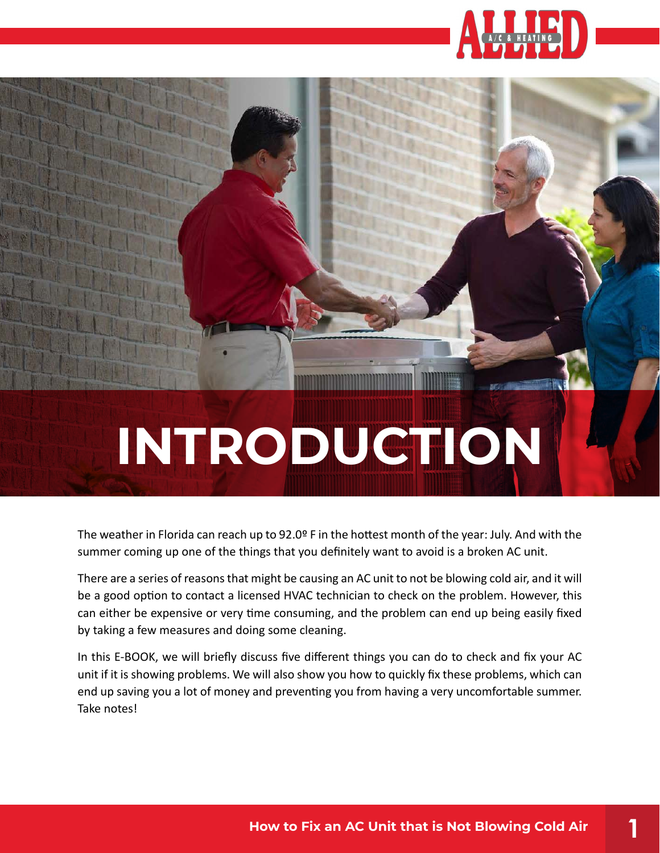

# **INTRODUCTION**

The weather in Florida can reach up to 92.0º F in the hottest month of the year: July. And with the summer coming up one of the things that you definitely want to avoid is a broken AC unit.

There are a series of reasons that might be causing an AC unit to not be blowing cold air, and it will be a good option to contact a licensed HVAC technician to check on the problem. However, this can either be expensive or very time consuming, and the problem can end up being easily fixed by taking a few measures and doing some cleaning.

In this E-BOOK, we will briefly discuss five different things you can do to check and fix your AC unit if it is showing problems. We will also show you how to quickly fix these problems, which can end up saving you a lot of money and preventing you from having a very uncomfortable summer. Take notes!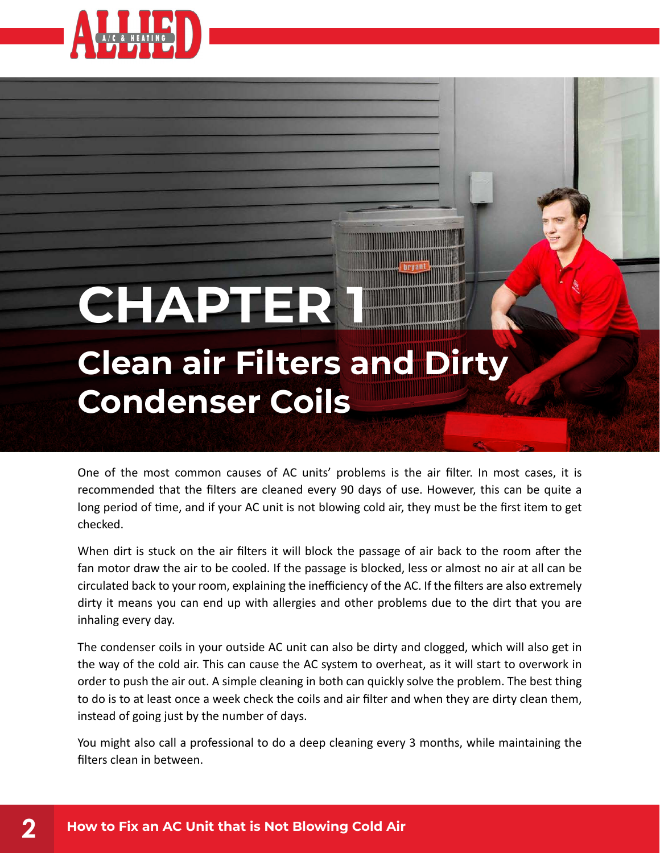

checked.

## **Clean air Filters and Dirty CHAPTER**

**Condenser Coils**

### One of the most common causes of AC units' problems is the air filter. In most cases, it is recommended that the filters are cleaned every 90 days of use. However, this can be quite a long period of time, and if your AC unit is not blowing cold air, they must be the first item to get

When dirt is stuck on the air filters it will block the passage of air back to the room after the fan motor draw the air to be cooled. If the passage is blocked, less or almost no air at all can be circulated back to your room, explaining the inefficiency of the AC. If the filters are also extremely dirty it means you can end up with allergies and other problems due to the dirt that you are inhaling every day.

The condenser coils in your outside AC unit can also be dirty and clogged, which will also get in the way of the cold air. This can cause the AC system to overheat, as it will start to overwork in order to push the air out. A simple cleaning in both can quickly solve the problem. The best thing to do is to at least once a week check the coils and air filter and when they are dirty clean them, instead of going just by the number of days.

You might also call a professional to do a deep cleaning every 3 months, while maintaining the filters clean in between.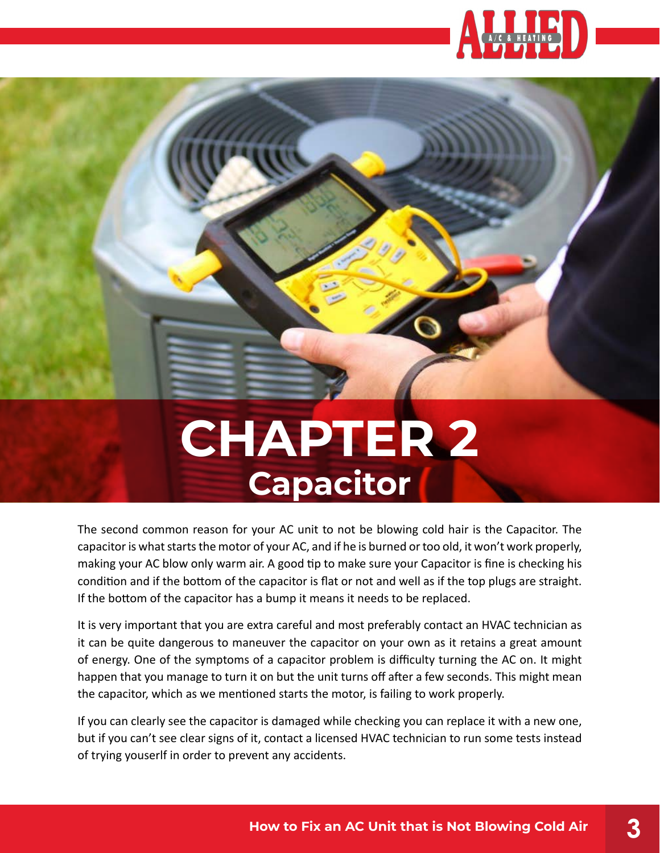

### **CHAPTER 2 Capacitor**

The second common reason for your AC unit to not be blowing cold hair is the Capacitor. The capacitor is what starts the motor of your AC, and if he is burned or too old, it won't work properly, making your AC blow only warm air. A good tip to make sure your Capacitor is fine is checking his condition and if the bottom of the capacitor is flat or not and well as if the top plugs are straight. If the bottom of the capacitor has a bump it means it needs to be replaced.

It is very important that you are extra careful and most preferably contact an HVAC technician as it can be quite dangerous to maneuver the capacitor on your own as it retains a great amount of energy. One of the symptoms of a capacitor problem is difficulty turning the AC on. It might happen that you manage to turn it on but the unit turns off after a few seconds. This might mean the capacitor, which as we mentioned starts the motor, is failing to work properly.

If you can clearly see the capacitor is damaged while checking you can replace it with a new one, but if you can't see clear signs of it, contact a licensed HVAC technician to run some tests instead of trying youserlf in order to prevent any accidents.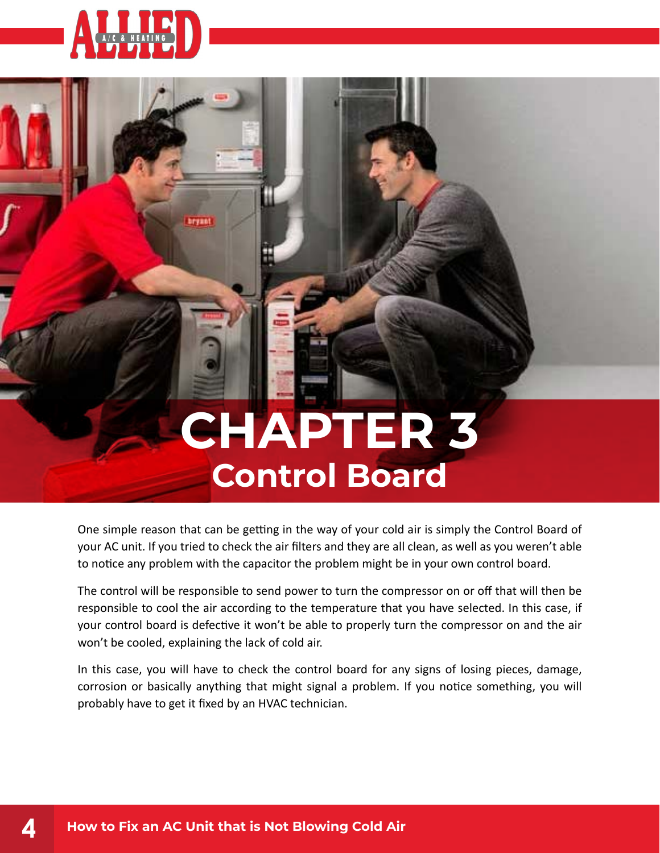

### **CHAPTER 3 Control Board**

One simple reason that can be getting in the way of your cold air is simply the Control Board of your AC unit. If you tried to check the air filters and they are all clean, as well as you weren't able to notice any problem with the capacitor the problem might be in your own control board.

The control will be responsible to send power to turn the compressor on or off that will then be responsible to cool the air according to the temperature that you have selected. In this case, if your control board is defective it won't be able to properly turn the compressor on and the air won't be cooled, explaining the lack of cold air.

In this case, you will have to check the control board for any signs of losing pieces, damage, corrosion or basically anything that might signal a problem. If you notice something, you will probably have to get it fixed by an HVAC technician.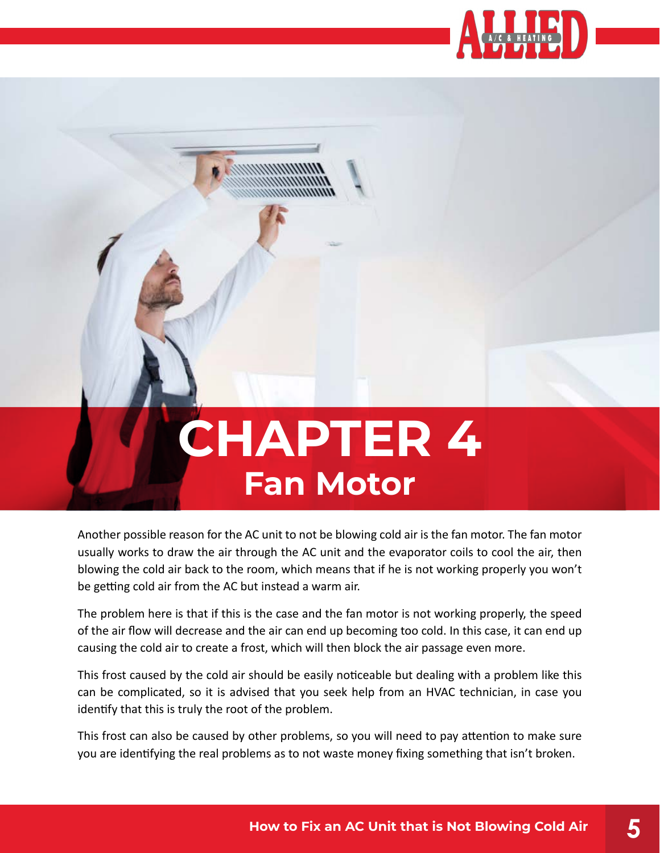

### **CHAPTER 4 Fan Motor**

Another possible reason for the AC unit to not be blowing cold air is the fan motor. The fan motor usually works to draw the air through the AC unit and the evaporator coils to cool the air, then blowing the cold air back to the room, which means that if he is not working properly you won't be getting cold air from the AC but instead a warm air.

The problem here is that if this is the case and the fan motor is not working properly, the speed of the air flow will decrease and the air can end up becoming too cold. In this case, it can end up causing the cold air to create a frost, which will then block the air passage even more.

This frost caused by the cold air should be easily noticeable but dealing with a problem like this can be complicated, so it is advised that you seek help from an HVAC technician, in case you identify that this is truly the root of the problem.

This frost can also be caused by other problems, so you will need to pay attention to make sure you are identifying the real problems as to not waste money fixing something that isn't broken.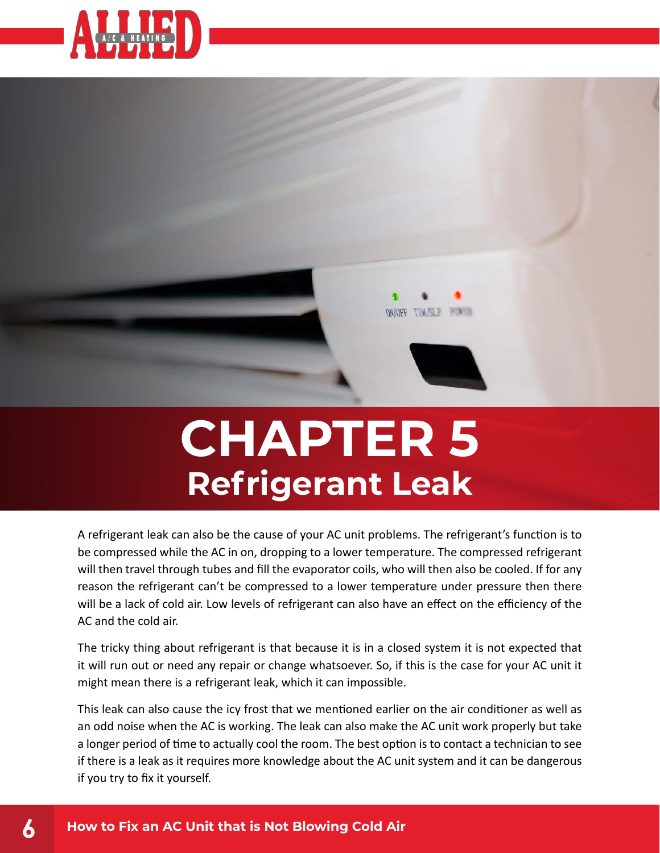



### **CHAPTER 5 Refrigerant Leak**

A refrigerant leak can also be the cause of your AC unit problems. The refrigerant's function is to be compressed while the AC in on, dropping to a lower temperature. The compressed refrigerant will then travel through tubes and fill the evaporator coils, who will then also be cooled. If for any reason the refrigerant can't be compressed to a lower temperature under pressure then there will be a lack of cold air. Low levels of refrigerant can also have an effect on the efficiency of the AC and the cold air.

The tricky thing about refrigerant is that because it is in a closed system it is not expected that it will run out or need any repair or change whatsoever. So, if this is the case for your AC unit it might mean there is a refrigerant leak, which it can impossible.

This leak can also cause the icy frost that we mentioned earlier on the air conditioner as well as an odd noise when the AC is working. The leak can also make the AC unit work properly but take a longer period of time to actually cool the room. The best option is to contact a technician to see if there is a leak as it requires more knowledge about the AC unit system and it can be dangerous if you try to fix it yourself.